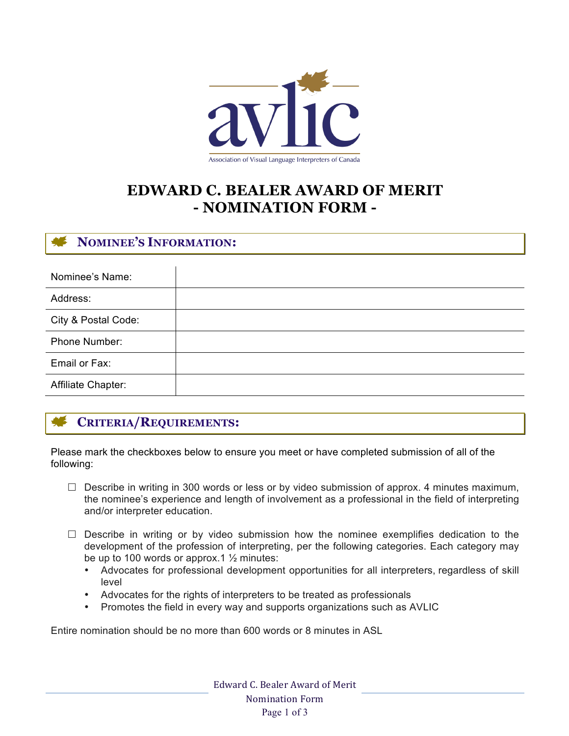

# **EDWARD C. BEALER AWARD OF MERIT - NOMINATION FORM -**

# **NOMINEE'S INFORMATION:**

| Nominee's Name:     |  |
|---------------------|--|
| Address:            |  |
| City & Postal Code: |  |
| Phone Number:       |  |
| Email or Fax:       |  |
| Affiliate Chapter:  |  |

# **CRITERIA/REQUIREMENTS:**

Please mark the checkboxes below to ensure you meet or have completed submission of all of the following:

- $\Box$  Describe in writing in 300 words or less or by video submission of approx. 4 minutes maximum, the nominee's experience and length of involvement as a professional in the field of interpreting and/or interpreter education.
- $\square$  Describe in writing or by video submission how the nominee exemplifies dedication to the development of the profession of interpreting, per the following categories. Each category may be up to 100 words or approx.  $1\frac{1}{2}$  minutes:
	- Advocates for professional development opportunities for all interpreters, regardless of skill level
	- Advocates for the rights of interpreters to be treated as professionals
	- Promotes the field in every way and supports organizations such as AVLIC

Entire nomination should be no more than 600 words or 8 minutes in ASL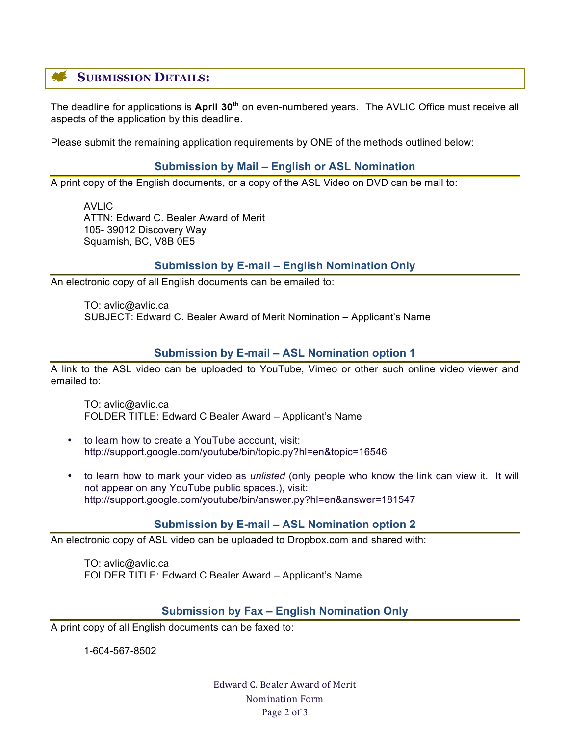# **SUBMISSION DETAILS:**

The deadline for applications is **April 30th** on even-numbered years**.** The AVLIC Office must receive all aspects of the application by this deadline.

Please submit the remaining application requirements by ONE of the methods outlined below:

#### **Submission by Mail – English or ASL Nomination**

A print copy of the English documents, or a copy of the ASL Video on DVD can be mail to:

AVLIC ATTN: Edward C. Bealer Award of Merit 105- 39012 Discovery Way Squamish, BC, V8B 0E5

### **Submission by E-mail – English Nomination Only**

An electronic copy of all English documents can be emailed to:

TO: avlic@avlic.ca SUBJECT: Edward C. Bealer Award of Merit Nomination – Applicant's Name

### **Submission by E-mail – ASL Nomination option 1**

A link to the ASL video can be uploaded to YouTube, Vimeo or other such online video viewer and emailed to:

TO: avlic@avlic.ca FOLDER TITLE: Edward C Bealer Award – Applicant's Name

- to learn how to create a YouTube account, visit: http://support.google.com/youtube/bin/topic.py?hl=en&topic=16546
- to learn how to mark your video as *unlisted* (only people who know the link can view it. It will not appear on any YouTube public spaces.), visit: http://support.google.com/youtube/bin/answer.py?hl=en&answer=181547

#### **Submission by E-mail – ASL Nomination option 2**

An electronic copy of ASL video can be uploaded to Dropbox.com and shared with:

TO: avlic@avlic.ca FOLDER TITLE: Edward C Bealer Award – Applicant's Name

#### **Submission by Fax – English Nomination Only**

A print copy of all English documents can be faxed to:

1-604-567-8502

Edward C. Bealer Award of Merit Nomination Form Page 2 of 3